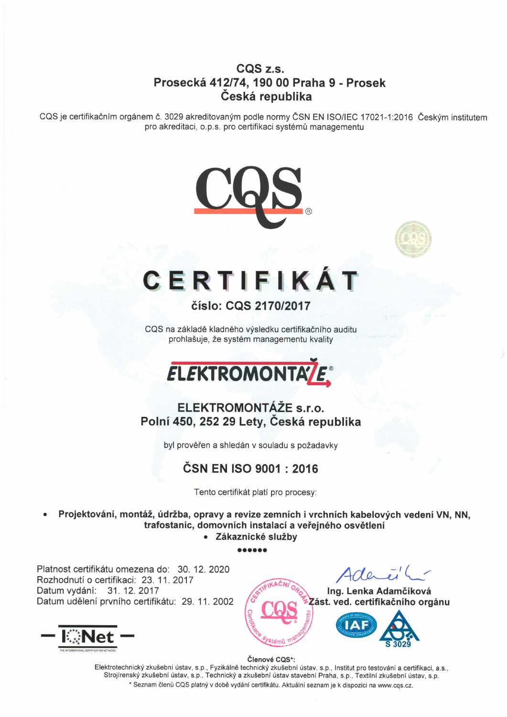#### CQS z.s. Prosecke 412174, 190 00 Praha 9 - Prosek Česká republika

CQS je certifikačním orgánem č. 3029 akreditovaným podle normy ČSN EN ISO/IEC 17021-1:2016 Českým institutem pro akreditaci, o.p.s. pro certifikaci systémů managementu





# CERTIFIKAT

číslo: CQS 2170/2017

CQS na základě kladného výsledku certifikačního auditu prohlašuje, že systém managementu kvality



## ELEKTROMONTÁŽE s.r.o. Polní 450, 252 29 Lety, Česká republika

byl prověřen a shledán v souladu s požadavky

# ČSN EN ISO 9001 : 2016

Tento certifikát platí pro procesy:

Projektování, montáž, údržba, opravy a revize zemních i vrchních kabelových vedení VN, NN, trafostanic, domovních instalací a veřejného osvětlení<br>vel Zákaznické služby

oaoooa

Platnost certifikátu omezena do: 30, 12, 2020 Rozhodnuti o certifikaci. 23. 11. 2017 Datum vydání: 31. 12. 2017



Ing. Lenka Adamčíková





Členové CQS\*:

Elektrotechnický zkušební ústav, s.p., Fyzikálně technický zkušební ústav, s.p., Institut pro testování a certifikaci, a.s., Strojírenský zkušební ústav, s.p., Technický a zkušební ústav stavební Praha, s.p., Textilní zkušební ústav, s.p. \* Seznam členů CQS platný v době vydání certifikátu. Aktuální seznam je k dispozici na www.cqs.cz.